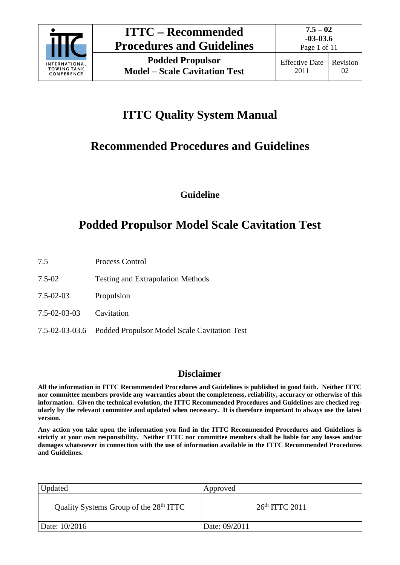

# **ITTC Quality System Manual**

# **Recommended Procedures and Guidelines**

**Guideline**

# **Podded Propulsor Model Scale Cavitation Test**

- 7.5 Process Control
- 7.5-02 Testing and Extrapolation Methods
- 7.5-02-03 Propulsion
- 7.5-02-03-03 Cavitation
- 7.5-02-03-03.6 Podded Propulsor Model Scale Cavitation Test

# **Disclaimer**

**All the information in ITTC Recommended Procedures and Guidelines is published in good faith. Neither ITTC nor committee members provide any warranties about the completeness, reliability, accuracy or otherwise of this information. Given the technical evolution, the ITTC Recommended Procedures and Guidelines are checked regularly by the relevant committee and updated when necessary. It is therefore important to always use the latest version.**

**Any action you take upon the information you find in the ITTC Recommended Procedures and Guidelines is strictly at your own responsibility. Neither ITTC nor committee members shall be liable for any losses and/or damages whatsoever in connection with the use of information available in the ITTC Recommended Procedures and Guidelines.**

| Updated                                            | Approved         |
|----------------------------------------------------|------------------|
| Quality Systems Group of the 28 <sup>th</sup> ITTC | $26th$ ITTC 2011 |
| Date: 10/2016                                      | Date: 09/2011    |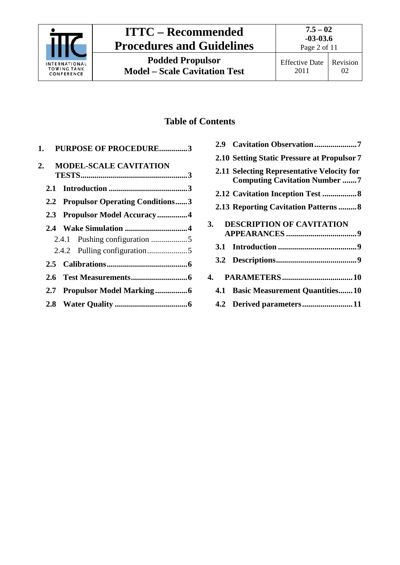

# **ITTC – Recommended Procedures and Guidelines**

# **Table of Contents**

| 1.  | <b>PURPOSE OF PROCEDURE3</b>        |  |
|-----|-------------------------------------|--|
| 2.  | <b>MODEL-SCALE CAVITATION</b>       |  |
|     |                                     |  |
|     | 2.2 Propulsor Operating Conditions3 |  |
|     | 2.3 Propulsor Model Accuracy4       |  |
|     |                                     |  |
|     |                                     |  |
|     |                                     |  |
|     |                                     |  |
|     |                                     |  |
| 2.7 |                                     |  |
|     |                                     |  |

| 2.9 Cavitation Observation7                                                        |
|------------------------------------------------------------------------------------|
| 2.10 Setting Static Pressure at Propulsor 7                                        |
| 2.11 Selecting Representative Velocity for<br><b>Computing Cavitation Number 7</b> |
|                                                                                    |
| <b>2.13 Reporting Cavitation Patterns 8</b>                                        |
| <b>DESCRIPTION OF CAVITATION</b><br>3.                                             |
|                                                                                    |
|                                                                                    |
|                                                                                    |
| 4.1 Basic Measurement Quantities10                                                 |
| 4.2 Derived parameters11                                                           |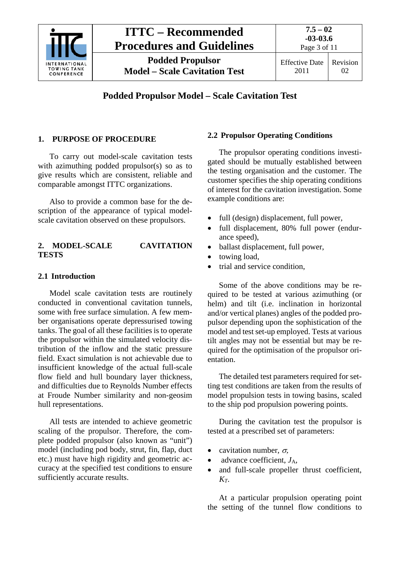

# **Podded Propulsor Model – Scale Cavitation Test**

## <span id="page-2-0"></span>**1. PURPOSE OF PROCEDURE**

To carry out model-scale cavitation tests with azimuthing podded propulsor(s) so as to give results which are consistent, reliable and comparable amongst ITTC organizations.

Also to provide a common base for the description of the appearance of typical modelscale cavitation observed on these propulsors.

#### <span id="page-2-1"></span>**2. MODEL-SCALE CAVITATION TESTS**

#### <span id="page-2-2"></span>**2.1 Introduction**

Model scale cavitation tests are routinely conducted in conventional cavitation tunnels, some with free surface simulation. A few member organisations operate depressurised towing tanks. The goal of all these facilities is to operate the propulsor within the simulated velocity distribution of the inflow and the static pressure field. Exact simulation is not achievable due to insufficient knowledge of the actual full-scale flow field and hull boundary layer thickness, and difficulties due to Reynolds Number effects at Froude Number similarity and non-geosim hull representations.

All tests are intended to achieve geometric scaling of the propulsor. Therefore, the complete podded propulsor (also known as "unit") model (including pod body, strut, fin, flap, duct etc.) must have high rigidity and geometric accuracy at the specified test conditions to ensure sufficiently accurate results.

#### <span id="page-2-3"></span>**2.2 Propulsor Operating Conditions**

The propulsor operating conditions investigated should be mutually established between the testing organisation and the customer. The customer specifies the ship operating conditions of interest for the cavitation investigation. Some example conditions are:

- full (design) displacement, full power,
- full displacement, 80% full power (endurance speed),
- ballast displacement, full power,
- towing load,
- trial and service condition.

Some of the above conditions may be required to be tested at various azimuthing (or helm) and tilt (i.e. inclination in horizontal and/or vertical planes) angles of the podded propulsor depending upon the sophistication of the model and test set-up employed. Tests at various tilt angles may not be essential but may be required for the optimisation of the propulsor orientation.

The detailed test parameters required for setting test conditions are taken from the results of model propulsion tests in towing basins, scaled to the ship pod propulsion powering points.

During the cavitation test the propulsor is tested at a prescribed set of parameters:

- cavitation number,  $\sigma$ ,
- advance coefficient, *J*A,
- and full-scale propeller thrust coefficient, *KT*.

At a particular propulsion operating point the setting of the tunnel flow conditions to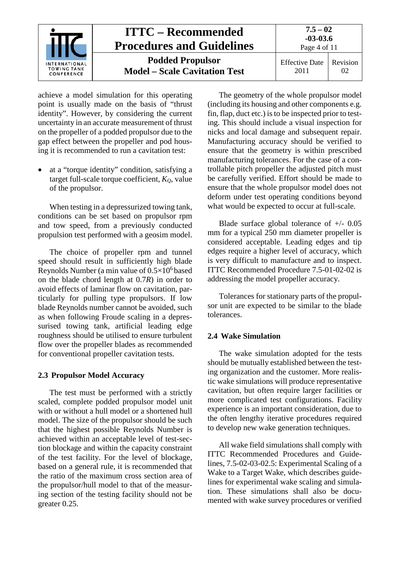

achieve a model simulation for this operating point is usually made on the basis of "thrust identity". However, by considering the current uncertainty in an accurate measurement of thrust on the propeller of a podded propulsor due to the gap effect between the propeller and pod housing it is recommended to run a cavitation test:

at a "torque identity" condition, satisfying a target full-scale torque coefficient,  $K_Q$ , value of the propulsor.

When testing in a depressurized towing tank, conditions can be set based on propulsor rpm and tow speed, from a previously conducted propulsion test performed with a geosim model.

The choice of propeller rpm and tunnel speed should result in sufficiently high blade Reynolds Number (a min value of  $0.5\times10^6$  based on the blade chord length at 0.7*R*) in order to avoid effects of laminar flow on cavitation, particularly for pulling type propulsors. If low blade Reynolds number cannot be avoided, such as when following Froude scaling in a depressurised towing tank, artificial leading edge roughness should be utilised to ensure turbulent flow over the propeller blades as recommended for conventional propeller cavitation tests.

## <span id="page-3-0"></span>**2.3 Propulsor Model Accuracy**

The test must be performed with a strictly scaled, complete podded propulsor model unit with or without a hull model or a shortened hull model. The size of the propulsor should be such that the highest possible Reynolds Number is achieved within an acceptable level of test-section blockage and within the capacity constraint of the test facility. For the level of blockage, based on a general rule, it is recommended that the ratio of the maximum cross section area of the propulsor/hull model to that of the measuring section of the testing facility should not be greater 0.25.

The geometry of the whole propulsor model (including its housing and other components e.g. fin, flap, duct etc.) is to be inspected prior to testing. This should include a visual inspection for nicks and local damage and subsequent repair. Manufacturing accuracy should be verified to ensure that the geometry is within prescribed manufacturing tolerances. For the case of a controllable pitch propeller the adjusted pitch must be carefully verified. Effort should be made to ensure that the whole propulsor model does not deform under test operating conditions beyond what would be expected to occur at full-scale.

Blade surface global tolerance of  $+/- 0.05$ mm for a typical 250 mm diameter propeller is considered acceptable. Leading edges and tip edges require a higher level of accuracy, which is very difficult to manufacture and to inspect. ITTC Recommended Procedure 7.5-01-02-02 is addressing the model propeller accuracy.

Tolerances for stationary parts of the propulsor unit are expected to be similar to the blade tolerances.

# <span id="page-3-1"></span>**2.4 Wake Simulation**

The wake simulation adopted for the tests should be mutually established between the testing organization and the customer. More realistic wake simulations will produce representative cavitation, but often require larger facilities or more complicated test configurations. Facility experience is an important consideration, due to the often lengthy iterative procedures required to develop new wake generation techniques.

All wake field simulations shall comply with ITTC Recommended Procedures and Guidelines, 7.5-02-03-02.5: Experimental Scaling of a Wake to a Target Wake, which describes guidelines for experimental wake scaling and simulation. These simulations shall also be documented with wake survey procedures or verified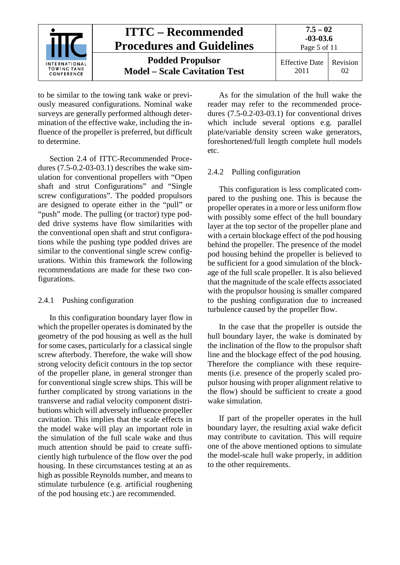

to be similar to the towing tank wake or previously measured configurations. Nominal wake surveys are generally performed although determination of the effective wake, including the influence of the propeller is preferred, but difficult to determine.

Section 2.4 of ITTC-Recommended Procedures (7.5-0.2-03-03.1) describes the wake simulation for conventional propellers with "Open shaft and strut Configurations" and "Single screw configurations". The podded propulsors are designed to operate either in the "pull" or "push" mode. The pulling (or tractor) type podded drive systems have flow similarities with the conventional open shaft and strut configurations while the pushing type podded drives are similar to the conventional single screw configurations. Within this framework the following recommendations are made for these two configurations.

## <span id="page-4-0"></span>2.4.1 Pushing configuration

In this configuration boundary layer flow in which the propeller operates is dominated by the geometry of the pod housing as well as the hull for some cases, particularly for a classical single screw afterbody. Therefore, the wake will show strong velocity deficit contours in the top sector of the propeller plane, in general stronger than for conventional single screw ships. This will be further complicated by strong variations in the transverse and radial velocity component distributions which will adversely influence propeller cavitation. This implies that the scale effects in the model wake will play an important role in the simulation of the full scale wake and thus much attention should be paid to create sufficiently high turbulence of the flow over the pod housing. In these circumstances testing at an as high as possible Reynolds number, and means to stimulate turbulence (e.g. artificial roughening of the pod housing etc.) are recommended.

As for the simulation of the hull wake the reader may refer to the recommended procedures (7.5-0.2-03-03.1) for conventional drives which include several options e.g. parallel plate/variable density screen wake generators, foreshortened/full length complete hull models etc.

# <span id="page-4-1"></span>2.4.2 Pulling configuration

This configuration is less complicated compared to the pushing one. This is because the propeller operates in a more or less uniform flow with possibly some effect of the hull boundary layer at the top sector of the propeller plane and with a certain blockage effect of the pod housing behind the propeller. The presence of the model pod housing behind the propeller is believed to be sufficient for a good simulation of the blockage of the full scale propeller. It is also believed that the magnitude of the scale effects associated with the propulsor housing is smaller compared to the pushing configuration due to increased turbulence caused by the propeller flow.

In the case that the propeller is outside the hull boundary layer, the wake is dominated by the inclination of the flow to the propulsor shaft line and the blockage effect of the pod housing. Therefore the compliance with these requirements (i.e. presence of the properly scaled propulsor housing with proper alignment relative to the flow) should be sufficient to create a good wake simulation.

If part of the propeller operates in the hull boundary layer, the resulting axial wake deficit may contribute to cavitation. This will require one of the above mentioned options to simulate the model-scale hull wake properly, in addition to the other requirements.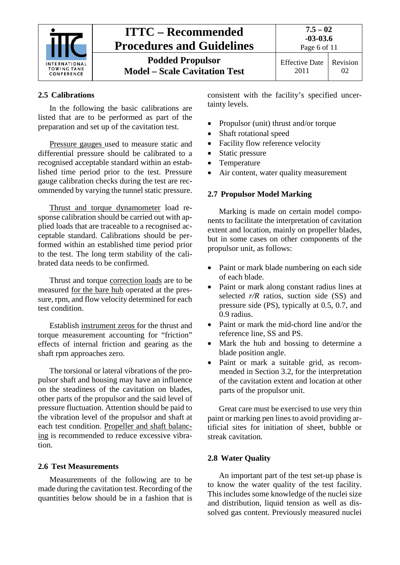

# <span id="page-5-0"></span>**2.5 Calibrations**

In the following the basic calibrations are listed that are to be performed as part of the preparation and set up of the cavitation test.

Pressure gauges used to measure static and differential pressure should be calibrated to a recognised acceptable standard within an established time period prior to the test. Pressure gauge calibration checks during the test are recommended by varying the tunnel static pressure.

Thrust and torque dynamometer load response calibration should be carried out with applied loads that are traceable to a recognised acceptable standard. Calibrations should be performed within an established time period prior to the test. The long term stability of the calibrated data needs to be confirmed.

Thrust and torque correction loads are to be measured for the bare hub operated at the pressure, rpm, and flow velocity determined for each test condition.

Establish instrument zeros for the thrust and torque measurement accounting for "friction" effects of internal friction and gearing as the shaft rpm approaches zero.

The torsional or lateral vibrations of the propulsor shaft and housing may have an influence on the steadiness of the cavitation on blades, other parts of the propulsor and the said level of pressure fluctuation. Attention should be paid to the vibration level of the propulsor and shaft at each test condition. Propeller and shaft balancing is recommended to reduce excessive vibration.

#### <span id="page-5-1"></span>**2.6 Test Measurements**

Measurements of the following are to be made during the cavitation test. Recording of the quantities below should be in a fashion that is consistent with the facility's specified uncertainty levels.

- Propulsor (unit) thrust and/or torque
- Shaft rotational speed
- Facility flow reference velocity
- Static pressure
- Temperature
- Air content, water quality measurement

#### <span id="page-5-2"></span>**2.7 Propulsor Model Marking**

Marking is made on certain model components to facilitate the interpretation of cavitation extent and location, mainly on propeller blades, but in some cases on other components of the propulsor unit, as follows:

- Paint or mark blade numbering on each side of each blade.
- Paint or mark along constant radius lines at selected *r/R* ratios, suction side (SS) and pressure side (PS), typically at 0.5, 0.7, and 0.9 radius.
- Paint or mark the mid-chord line and/or the reference line, SS and PS.
- Mark the hub and bossing to determine a blade position angle.
- Paint or mark a suitable grid, as recommended in Section 3.2, for the interpretation of the cavitation extent and location at other parts of the propulsor unit.

Great care must be exercised to use very thin paint or marking pen lines to avoid providing artificial sites for initiation of sheet, bubble or streak cavitation.

#### <span id="page-5-3"></span>**2.8 Water Quality**

An important part of the test set-up phase is to know the water quality of the test facility. This includes some knowledge of the nuclei size and distribution, liquid tension as well as dissolved gas content. Previously measured nuclei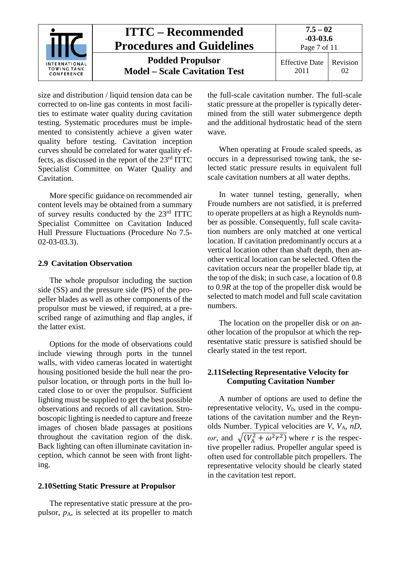

size and distribution / liquid tension data can be corrected to on-line gas contents in most facilities to estimate water quality during cavitation testing. Systematic procedures must be implemented to consistently achieve a given water quality before testing. Cavitation inception curves should be correlated for water quality effects, as discussed in the report of the 23rd ITTC Specialist Committee on Water Quality and Cavitation.

More specific guidance on recommended air content levels may be obtained from a summary of survey results conducted by the 23rd ITTC Specialist Committee on Cavitation Induced Hull Pressure Fluctuations (Procedure No 7.5- 02-03-03.3).

## <span id="page-6-0"></span>**2.9 Cavitation Observation**

The whole propulsor including the suction side (SS) and the pressure side (PS) of the propeller blades as well as other components of the propulsor must be viewed, if required, at a prescribed range of azimuthing and flap angles, if the latter exist.

Options for the mode of observations could include viewing through ports in the tunnel walls, with video cameras located in watertight housing positioned beside the hull near the propulsor location, or through ports in the hull located close to or over the propulsor. Sufficient lighting must be supplied to get the best possible observations and records of all cavitation. Stroboscopic lighting is needed to capture and freeze images of chosen blade passages at positions throughout the cavitation region of the disk. Back lighting can often illuminate cavitation inception, which cannot be seen with front lighting.

#### <span id="page-6-1"></span>**2.10Setting Static Pressure at Propulsor**

The representative static pressure at the propulsor, *p*A, is selected at its propeller to match

the full-scale cavitation number. The full-scale static pressure at the propeller is typically determined from the still water submergence depth and the additional hydrostatic head of the stern wave.

When operating at Froude scaled speeds, as occurs in a depressurised towing tank, the selected static pressure results in equivalent full scale cavitation numbers at all water depths.

In water tunnel testing, generally, when Froude numbers are not satisfied, it is preferred to operate propellers at as high a Reynolds number as possible. Consequently, full scale cavitation numbers are only matched at one vertical location. If cavitation predominantly occurs at a vertical location other than shaft depth, then another vertical location can be selected. Often the cavitation occurs near the propeller blade tip, at the top of the disk; in such case, a location of 0.8 to 0.9*R* at the top of the propeller disk would be selected to match model and full scale cavitation numbers.

The location on the propeller disk or on another location of the propulsor at which the representative static pressure is satisfied should be clearly stated in the test report.

#### <span id="page-6-2"></span>**2.11Selecting Representative Velocity for Computing Cavitation Number**

A number of options are used to define the representative velocity, *V*0, used in the computations of the cavitation number and the Reynolds Number. Typical velocities are *V*, *V*A, *nD*, *ωr*, and  $\sqrt{(V_A^2 + \omega^2 r^2)}$  where *r* is the respective propeller radius. Propeller angular speed is often used for controllable pitch propellers. The representative velocity should be clearly stated in the cavitation test report.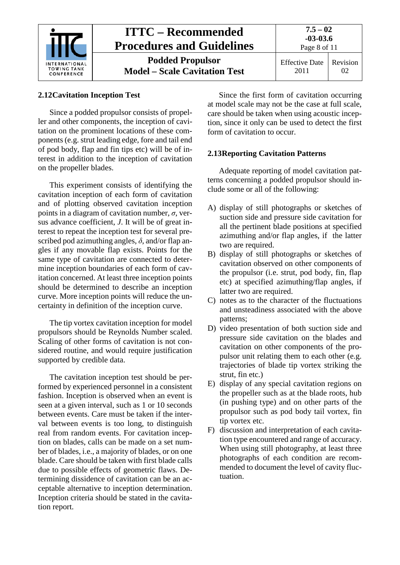| INTERNATIONAL<br><b>TOWING TANK</b><br>CONFERENCE | <b>ITTC – Recommended</b><br><b>Procedures and Guidelines</b>   | $7.5 - 02$<br>$-03-03.6$<br>Page 8 of 11 |                |
|---------------------------------------------------|-----------------------------------------------------------------|------------------------------------------|----------------|
|                                                   | <b>Podded Propulsor</b><br><b>Model – Scale Cavitation Test</b> | <b>Effective Date</b><br>2011            | Revision<br>02 |

# <span id="page-7-0"></span>**2.12Cavitation Inception Test**

Since a podded propulsor consists of propeller and other components, the inception of cavitation on the prominent locations of these components (e.g. strut leading edge, fore and tail end of pod body, flap and fin tips etc) will be of interest in addition to the inception of cavitation on the propeller blades.

This experiment consists of identifying the cavitation inception of each form of cavitation and of plotting observed cavitation inception points in a diagram of cavitation number,  $\sigma$ , versus advance coefficient, *J*. It will be of great interest to repeat the inception test for several prescribed pod azimuthing angles,  $\delta$ , and/or flap angles if any movable flap exists. Points for the same type of cavitation are connected to determine inception boundaries of each form of cavitation concerned. At least three inception points should be determined to describe an inception curve. More inception points will reduce the uncertainty in definition of the inception curve.

The tip vortex cavitation inception for model propulsors should be Reynolds Number scaled. Scaling of other forms of cavitation is not considered routine, and would require justification supported by credible data.

The cavitation inception test should be performed by experienced personnel in a consistent fashion. Inception is observed when an event is seen at a given interval, such as 1 or 10 seconds between events. Care must be taken if the interval between events is too long, to distinguish real from random events. For cavitation inception on blades, calls can be made on a set number of blades, i.e., a majority of blades, or on one blade. Care should be taken with first blade calls due to possible effects of geometric flaws. Determining dissidence of cavitation can be an acceptable alternative to inception determination. Inception criteria should be stated in the cavitation report.

Since the first form of cavitation occurring at model scale may not be the case at full scale, care should be taken when using acoustic inception, since it only can be used to detect the first form of cavitation to occur.

# <span id="page-7-1"></span>**2.13Reporting Cavitation Patterns**

Adequate reporting of model cavitation patterns concerning a podded propulsor should include some or all of the following:

- A) display of still photographs or sketches of suction side and pressure side cavitation for all the pertinent blade positions at specified azimuthing and/or flap angles, if the latter two are required.
- B) display of still photographs or sketches of cavitation observed on other components of the propulsor (i.e. strut, pod body, fin, flap etc) at specified azimuthing/flap angles, if latter two are required.
- C) notes as to the character of the fluctuations and unsteadiness associated with the above patterns;
- D) video presentation of both suction side and pressure side cavitation on the blades and cavitation on other components of the propulsor unit relating them to each other (e.g. trajectories of blade tip vortex striking the strut, fin etc.)
- E) display of any special cavitation regions on the propeller such as at the blade roots, hub (in pushing type) and on other parts of the propulsor such as pod body tail vortex, fin tip vortex etc.
- F) discussion and interpretation of each cavitation type encountered and range of accuracy. When using still photography, at least three photographs of each condition are recommended to document the level of cavity fluctuation.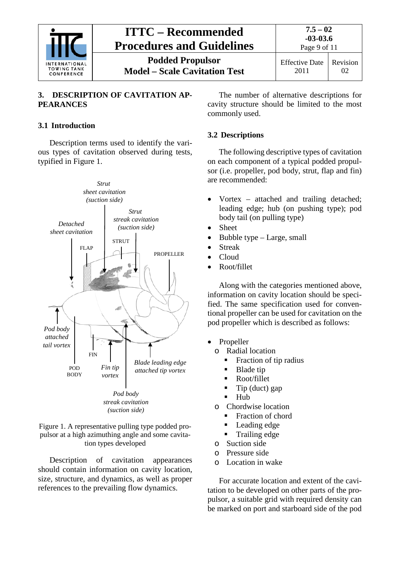

## <span id="page-8-0"></span>**3. DESCRIPTION OF CAVITATION AP-PEARANCES**

## <span id="page-8-1"></span>**3.1 Introduction**

Description terms used to identify the various types of cavitation observed during tests, typified in Figure 1.



Figure 1. A representative pulling type podded propulsor at a high azimuthing angle and some cavitation types developed

Description of cavitation appearances should contain information on cavity location, size, structure, and dynamics, as well as proper references to the prevailing flow dynamics.

The number of alternative descriptions for cavity structure should be limited to the most commonly used.

## <span id="page-8-2"></span>**3.2 Descriptions**

The following descriptive types of cavitation on each component of a typical podded propulsor (i.e. propeller, pod body, strut, flap and fin) are recommended:

- Vortex attached and trailing detached; leading edge; hub (on pushing type); pod body tail (on pulling type)
- **Sheet**
- Bubble type Large, small
- Streak
- Cloud
- Root/fillet

Along with the categories mentioned above, information on cavity location should be specified. The same specification used for conventional propeller can be used for cavitation on the pod propeller which is described as follows:

- Propeller
	- o Radial location
		- Fraction of tip radius
		- Blade tip
		- Root/fillet
		- Tip (duct) gap
		- $-Hub$
	- o Chordwise location
		- Fraction of chord
		- Leading edge
		- **Trailing edge**
	- o Suction side
	- o Pressure side
	- o Location in wake

For accurate location and extent of the cavitation to be developed on other parts of the propulsor, a suitable grid with required density can be marked on port and starboard side of the pod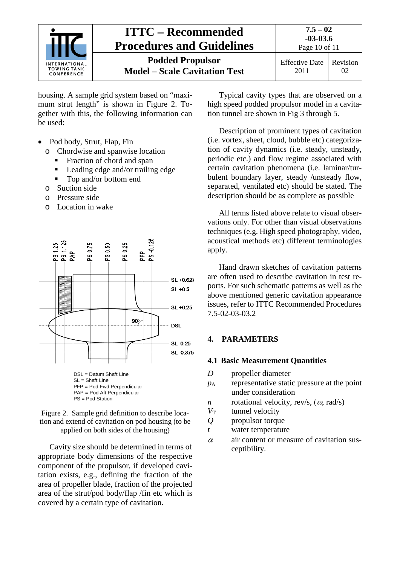

housing. A sample grid system based on "maximum strut length" is shown in Figure 2. Together with this, the following information can be used:

- Pod body, Strut, Flap, Fin
	- o Chordwise and spanwise location
		- Fraction of chord and span
		- Leading edge and/or trailing edge
		- Top and/or bottom end
	- o Suction side
	- o Pressure side
	- o Location in wake





tion and extend of cavitation on pod housing (to be applied on both sides of the housing)

Cavity size should be determined in terms of appropriate body dimensions of the respective component of the propulsor, if developed cavitation exists, e.g., defining the fraction of the area of propeller blade, fraction of the projected area of the strut/pod body/flap /fin etc which is covered by a certain type of cavitation.

Typical cavity types that are observed on a high speed podded propulsor model in a cavitation tunnel are shown in Fig 3 through 5.

Description of prominent types of cavitation (i.e. vortex, sheet, cloud, bubble etc) categorization of cavity dynamics (i.e. steady, unsteady, periodic etc.) and flow regime associated with certain cavitation phenomena (i.e. laminar/turbulent boundary layer, steady /unsteady flow, separated, ventilated etc) should be stated. The description should be as complete as possible

All terms listed above relate to visual observations only. For other than visual observations techniques (e.g. High speed photography, video, acoustical methods etc) different terminologies apply.

Hand drawn sketches of cavitation patterns are often used to describe cavitation in test reports. For such schematic patterns as well as the above mentioned generic cavitation appearance issues, refer to ITTC Recommended Procedures 7.5-02-03-03.2

# <span id="page-9-1"></span><span id="page-9-0"></span>**4. PARAMETERS**

## **4.1 Basic Measurement Quantities**

- *D* propeller diameter
- *p*<sup>A</sup> representative static pressure at the point under consideration
- *n* rotational velocity, rev/s,  $(\omega$ , rad/s)
- *V*<sub>T</sub> tunnel velocity
- *Q* propulsor torque
- *t* water temperature
- $\alpha$  air content or measure of cavitation susceptibility.